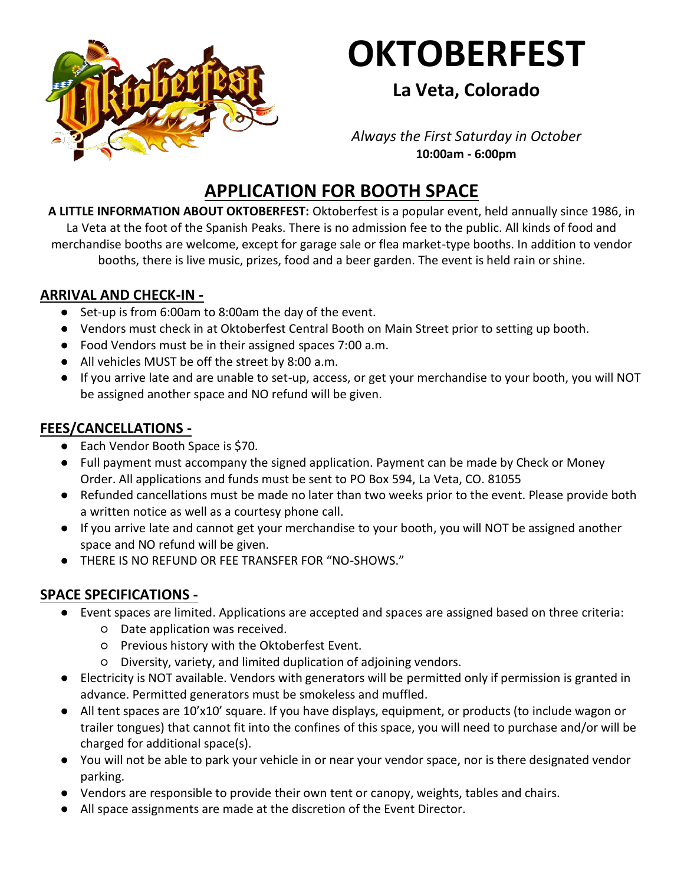

# **OKTOBERFEST**

## **La Veta, Colorado**

*Always the First Saturday in October* **10:00am - 6:00pm**

## **APPLICATION FOR BOOTH SPACE**

**A LITTLE INFORMATION ABOUT OKTOBERFEST:** Oktoberfest is a popular event, held annually since 1986, in La Veta at the foot of the Spanish Peaks. There is no admission fee to the public. All kinds of food and merchandise booths are welcome, except for garage sale or flea market-type booths. In addition to vendor booths, there is live music, prizes, food and a beer garden. The event is held rain or shine.

#### **ARRIVAL AND CHECK-IN -**

- Set-up is from 6:00am to 8:00am the day of the event.
- Vendors must check in at Oktoberfest Central Booth on Main Street prior to setting up booth.
- Food Vendors must be in their assigned spaces 7:00 a.m.
- All vehicles MUST be off the street by 8:00 a.m.
- If you arrive late and are unable to set-up, access, or get your merchandise to your booth, you will NOT be assigned another space and NO refund will be given.

### **FEES/CANCELLATIONS -**

- Each Vendor Booth Space is \$70.
- Full payment must accompany the signed application. Payment can be made by Check or Money Order. All applications and funds must be sent to PO Box 594, La Veta, CO. 81055
- Refunded cancellations must be made no later than two weeks prior to the event. Please provide both a written notice as well as a courtesy phone call.
- If you arrive late and cannot get your merchandise to your booth, you will NOT be assigned another space and NO refund will be given.
- THERE IS NO REFUND OR FEE TRANSFER FOR "NO-SHOWS."

### **SPACE SPECIFICATIONS -**

- Event spaces are limited. Applications are accepted and spaces are assigned based on three criteria:
	- Date application was received.
	- Previous history with the Oktoberfest Event.
	- Diversity, variety, and limited duplication of adjoining vendors.
- Electricity is NOT available. Vendors with generators will be permitted only if permission is granted in advance. Permitted generators must be smokeless and muffled.
- All tent spaces are 10'x10' square. If you have displays, equipment, or products (to include wagon or trailer tongues) that cannot fit into the confines of this space, you will need to purchase and/or will be charged for additional space(s).
- You will not be able to park your vehicle in or near your vendor space, nor is there designated vendor parking.
- Vendors are responsible to provide their own tent or canopy, weights, tables and chairs.
- All space assignments are made at the discretion of the Event Director.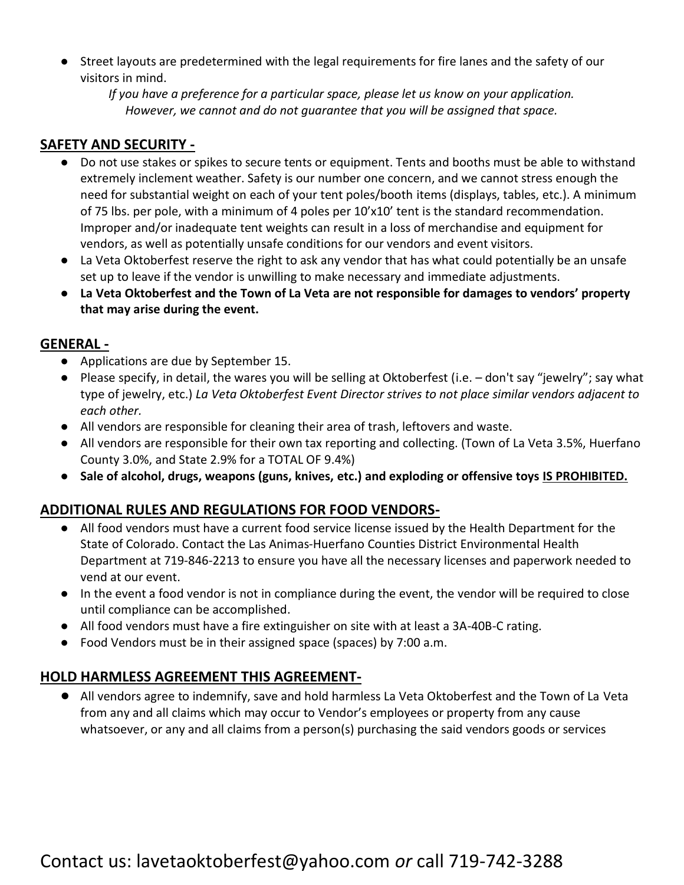Street layouts are predetermined with the legal requirements for fire lanes and the safety of our visitors in mind.

*If you have a preference for a particular space, please let us know on your application. However, we cannot and do not guarantee that you will be assigned that space.*

#### **SAFETY AND SECURITY -**

- Do not use stakes or spikes to secure tents or equipment. Tents and booths must be able to withstand extremely inclement weather. Safety is our number one concern, and we cannot stress enough the need for substantial weight on each of your tent poles/booth items (displays, tables, etc.). A minimum of 75 lbs. per pole, with a minimum of 4 poles per 10'x10' tent is the standard recommendation. Improper and/or inadequate tent weights can result in a loss of merchandise and equipment for vendors, as well as potentially unsafe conditions for our vendors and event visitors.
- La Veta Oktoberfest reserve the right to ask any vendor that has what could potentially be an unsafe set up to leave if the vendor is unwilling to make necessary and immediate adjustments.
- **La Veta Oktoberfest and the Town of La Veta are not responsible for damages to vendors' property that may arise during the event.**

#### **GENERAL -**

- Applications are due by September 15.
- Please specify, in detail, the wares you will be selling at Oktoberfest (i.e. don't say "jewelry"; say what type of jewelry, etc.) *La Veta Oktoberfest Event Director strives to not place similar vendors adjacent to each other.*
- All vendors are responsible for cleaning their area of trash, leftovers and waste.
- All vendors are responsible for their own tax reporting and collecting. (Town of La Veta 3.5%, Huerfano County 3.0%, and State 2.9% for a TOTAL OF 9.4%)
- **Sale of alcohol, drugs, weapons (guns, knives, etc.) and exploding or offensive toys IS PROHIBITED.**

#### **ADDITIONAL RULES AND REGULATIONS FOR FOOD VENDORS-**

- All food vendors must have a current food service license issued by the Health Department for the State of Colorado. Contact the Las Animas-Huerfano Counties District Environmental Health Department at 719-846-2213 to ensure you have all the necessary licenses and paperwork needed to vend at our event.
- In the event a food vendor is not in compliance during the event, the vendor will be required to close until compliance can be accomplished.
- All food vendors must have a fire extinguisher on site with at least a 3A-40B-C rating.
- Food Vendors must be in their assigned space (spaces) by 7:00 a.m.

#### **HOLD HARMLESS AGREEMENT THIS AGREEMENT-**

All vendors agree to indemnify, save and hold harmless La Veta Oktoberfest and the Town of La Veta from any and all claims which may occur to Vendor's employees or property from any cause whatsoever, or any and all claims from a person(s) purchasing the said vendors goods or services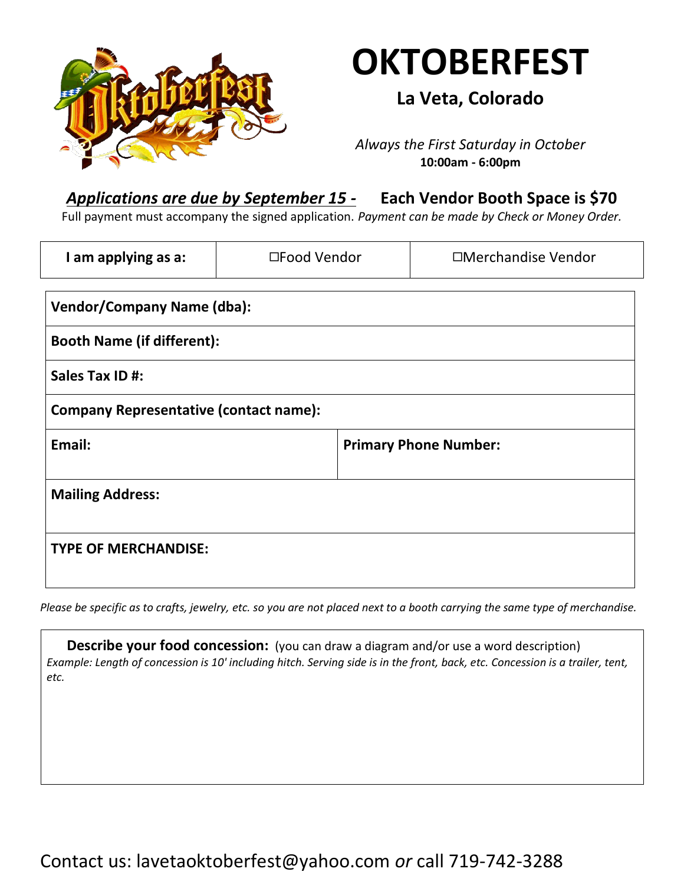

# **OKTOBERFEST**

**La Veta, Colorado**

*Always the First Saturday in October* **10:00am - 6:00pm**

## *Applications are due by September 15 -* **Each Vendor Booth Space is \$70**

Full payment must accompany the signed application. *Payment can be made by Check or Money Order.*

| I am applying as a:                           | □Food Vendor | □Merchandise Vendor          |  |
|-----------------------------------------------|--------------|------------------------------|--|
| <b>Vendor/Company Name (dba):</b>             |              |                              |  |
| <b>Booth Name (if different):</b>             |              |                              |  |
| Sales Tax ID #:                               |              |                              |  |
| <b>Company Representative (contact name):</b> |              |                              |  |
| Email:                                        |              | <b>Primary Phone Number:</b> |  |
| <b>Mailing Address:</b>                       |              |                              |  |
| <b>TYPE OF MERCHANDISE:</b>                   |              |                              |  |

*Please be specific as to crafts, jewelry, etc. so you are not placed next to a booth carrying the same type of merchandise.*

**Describe your food concession:** (you can draw a diagram and/or use a word description) *Example: Length of concession is 10' including hitch. Serving side is in the front, back, etc. Concession is a trailer, tent, etc.*